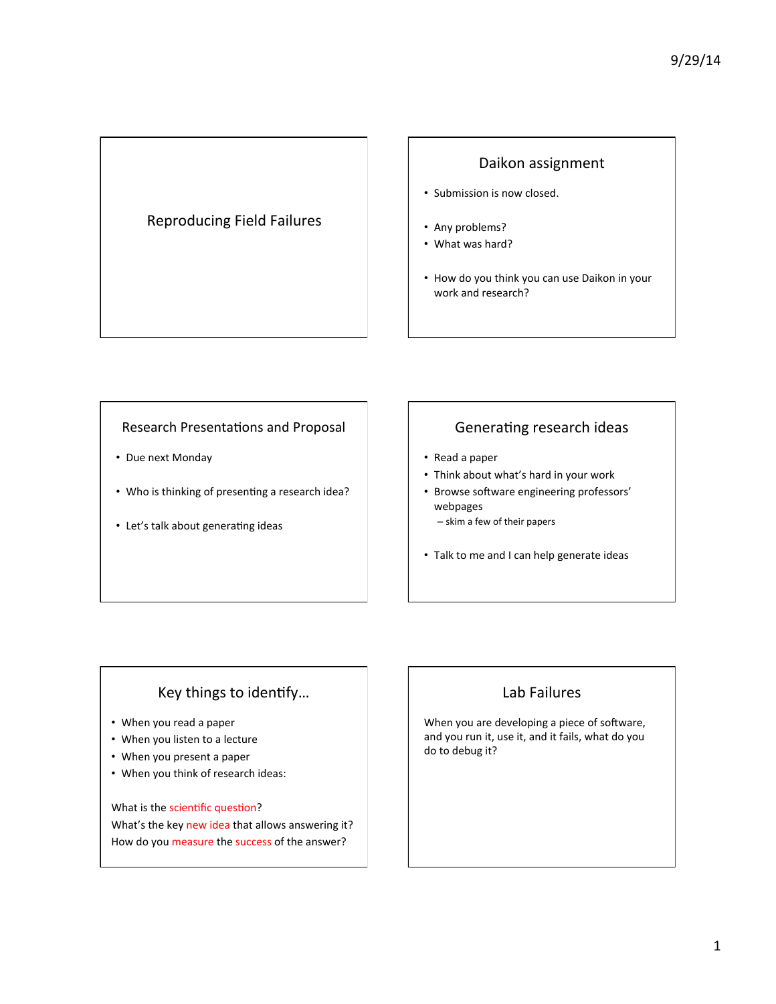### Reproducing Field Failures

### Daikon assignment

- Submission is now closed.
- Any problems?
- What was hard?
- How do you think you can use Daikon in your work and research?

#### Research Presentations and Proposal

- Due next Monday
- Who is thinking of presenting a research idea?
- Let's talk about generating ideas

### Generating research ideas

- Read a paper
- Think about what's hard in your work
- Browse software engineering professors' webpages
	- skim a few of their papers
- Talk to me and I can help generate ideas

# Key things to identify...

- When you read a paper
- When you listen to a lecture
- When you present a paper
- When you think of research ideas:

What is the scientific question? What's the key new idea that allows answering it? How do you measure the success of the answer?

# Lab Failures

When you are developing a piece of software, and you run it, use it, and it fails, what do you do to debug it?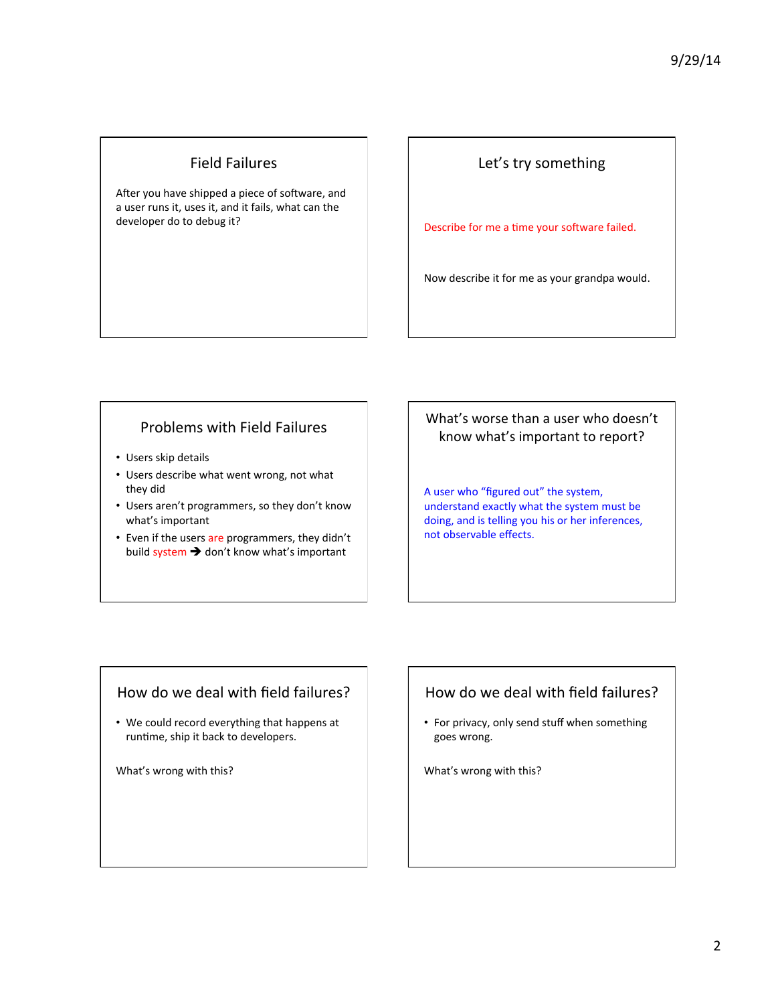### Field Failures

After you have shipped a piece of software, and a user runs it, uses it, and it fails, what can the developer do to debug it?

### Let's try something

Describe for me a time your software failed.

Now describe it for me as your grandpa would.

### Problems with Field Failures

- Users skip details
- Users describe what went wrong, not what they did
- Users aren't programmers, so they don't know what's important
- Even if the users are programmers, they didn't build system  $\rightarrow$  don't know what's important

What's worse than a user who doesn't know what's important to report?

A user who "figured out" the system, understand exactly what the system must be doing, and is telling you his or her inferences, not observable effects.

#### How do we deal with field failures?

• We could record everything that happens at runtime, ship it back to developers.

What's wrong with this?

### How do we deal with field failures?

• For privacy, only send stuff when something goes wrong. 

What's wrong with this?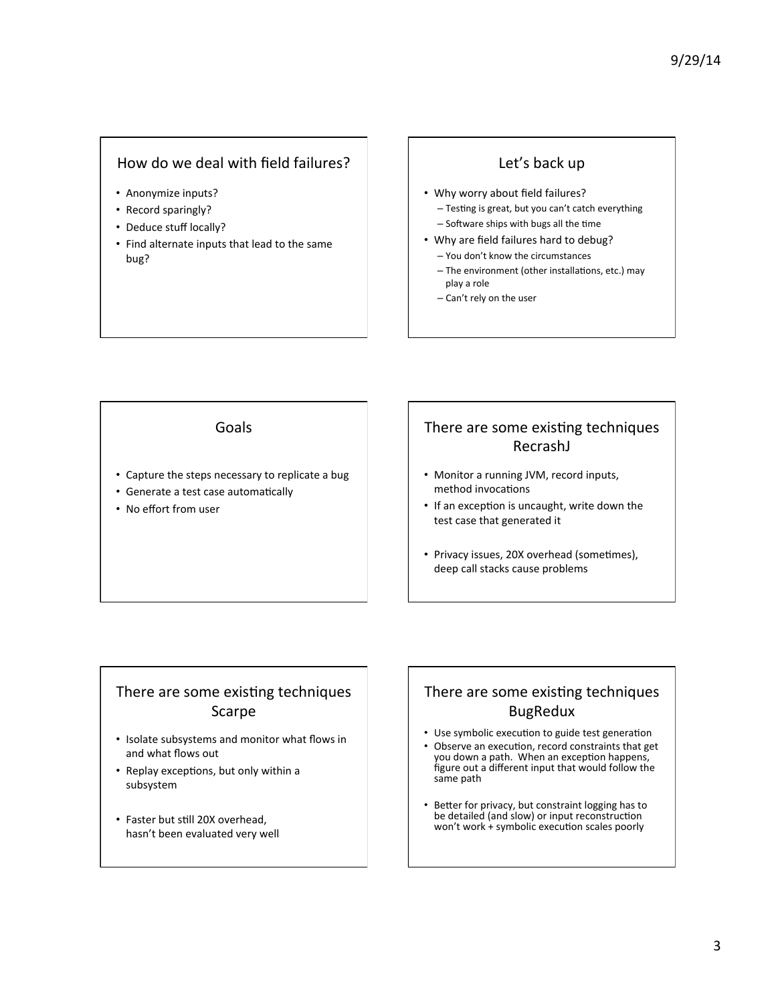### How do we deal with field failures?

- Anonymize inputs?
- Record sparingly?
- Deduce stuff locally?
- Find alternate inputs that lead to the same bug?

# Let's back up

- Why worry about field failures?
	- Testing is great, but you can't catch everything
	- Software ships with bugs all the time
- Why are field failures hard to debug?
	- You don't know the circumstances
	- The environment (other installations, etc.) may play a role
	- Can't rely on the user

### Goals

- Capture the steps necessary to replicate a bug
- Generate a test case automatically
- No effort from user

# There are some existing techniques RecrashJ

- Monitor a running JVM, record inputs, method invocations
- If an exception is uncaught, write down the test case that generated it
- Privacy issues, 20X overhead (sometimes), deep call stacks cause problems

### There are some existing techniques Scarpe

- Isolate subsystems and monitor what flows in and what flows out
- Replay exceptions, but only within a subsystem
- Faster but still 20X overhead, hasn't been evaluated very well

# There are some existing techniques BugRedux

- Use symbolic execution to guide test generation
- Observe an execution, record constraints that get you down a path. When an exception happens, figure out a different input that would follow the same path
- Better for privacy, but constraint logging has to be detailed (and slow) or input reconstruction won't work + symbolic execution scales poorly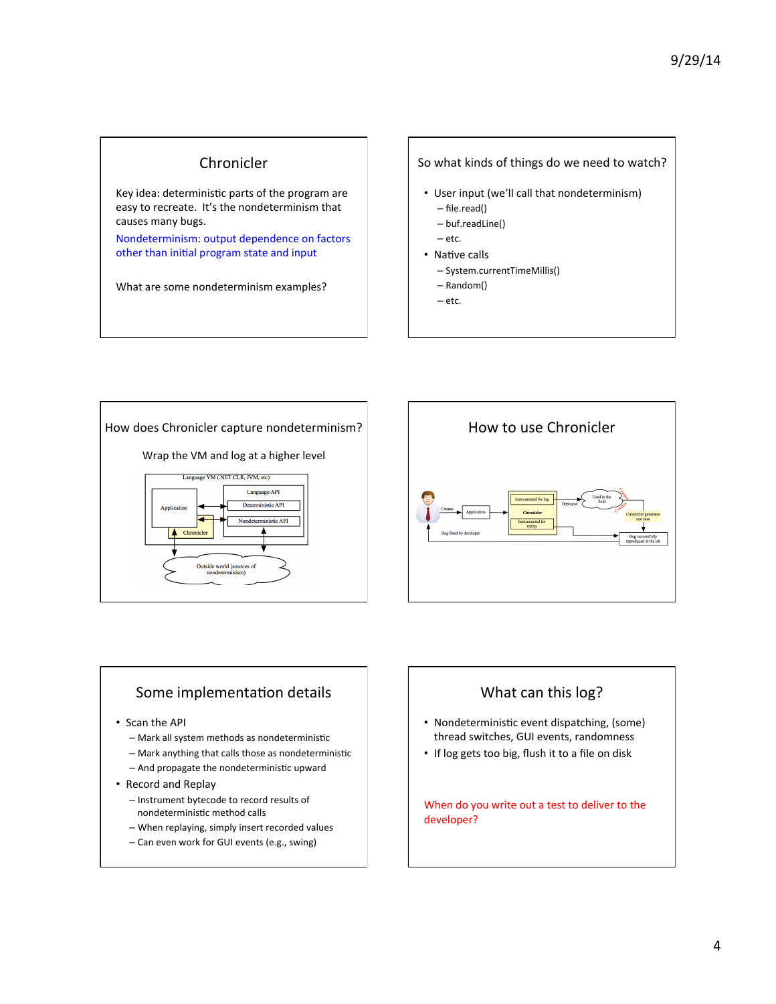#### Chronicler

Key idea: deterministic parts of the program are easy to recreate. It's the nondeterminism that causes many bugs.

Nondeterminism: output dependence on factors other than initial program state and input

What are some nondeterminism examples?

#### So what kinds of things do we need to watch?

- User input (we'll call that nondeterminism) – file.read()
	- buf.readLine()
	- etc.
- Native calls
	- System.currentTimeMillis()
	- Random() – etc.

How does Chronicler capture nondeterminism? Wrap the VM and log at a higher level Language VM (.NET CLR, JVM, etc) Language API Deterministic API ninistic API Chronicle Outside world (sources of<br>nondeterminism)



#### Some implementation details

- Scan the API
	- Mark all system methods as nondeterministic
	- $-$  Mark anything that calls those as nondeterministic
	- And propagate the nondeterministic upward
- Record and Replay
	- Instrument bytecode to record results of nondeterministic method calls
	- When replaying, simply insert recorded values
	- Can even work for GUI events (e.g., swing)



- Nondeterministic event dispatching, (some) thread switches, GUI events, randomness
- If log gets too big, flush it to a file on disk

When do you write out a test to deliver to the developer?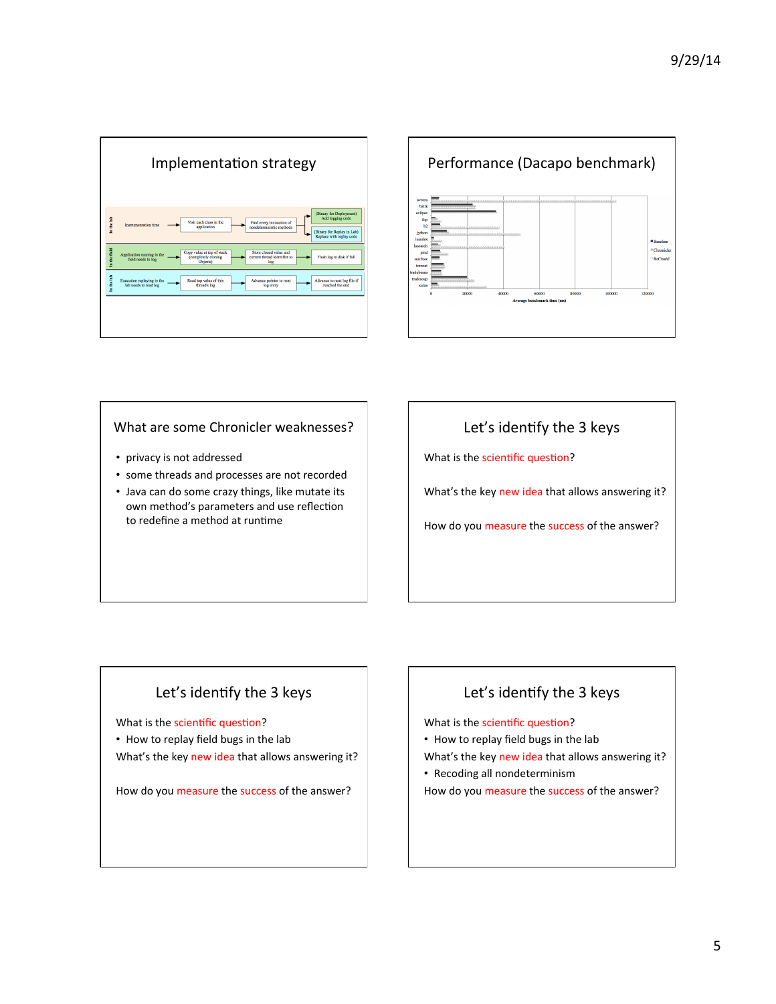|             | Implementation strategy                                                                                                                                                                                                         |
|-------------|---------------------------------------------------------------------------------------------------------------------------------------------------------------------------------------------------------------------------------|
| In the lab  | (Binary for Deployment)<br>Add logging code<br>Visit each class in the<br>Find every invocation of<br>Instrumentation time<br>application<br>nondeterministic methods<br>(Binary for Replay in Lab)<br>Replace with replay code |
| n the field | Store cloned value and<br>Copy value at top of stack<br>Application running in the<br>(completely cloning<br>current thread identifier to<br>Flush log to disk if full<br>field needs to log<br>Objects)<br>log                 |
| In the lab  | Advance to next log file if<br>Execution replaying in the<br>Read top value of this<br>Advance pointer to next<br>lab needs to read log<br>reached the end<br>thread's log<br>log entry                                         |
|             |                                                                                                                                                                                                                                 |
|             |                                                                                                                                                                                                                                 |



#### What are some Chronicler weaknesses?

- privacy is not addressed
- some threads and processes are not recorded
- Java can do some crazy things, like mutate its own method's parameters and use reflection to redefine a method at runtime

# Let's identify the 3 keys

What is the scientific question?

What's the key new idea that allows answering it?

How do you measure the success of the answer?

# Let's identify the 3 keys

What is the scientific question?

• How to replay field bugs in the lab What's the key new idea that allows answering it?

How do you measure the success of the answer?

# Let's identify the 3 keys

What is the scientific question?

• How to replay field bugs in the lab

What's the key new idea that allows answering it?

• Recoding all nondeterminism

How do you measure the success of the answer?